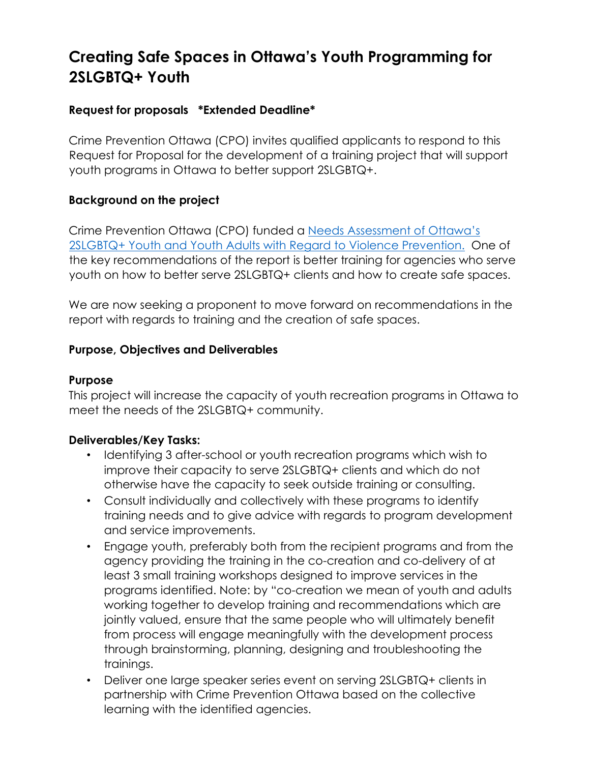# **Creating Safe Spaces in Ottawa's Youth Programming for 2SLGBTQ+ Youth**

## **Request for proposals \*Extended Deadline\***

Crime Prevention Ottawa (CPO) invites qualified applicants to respond to this Request for Proposal for the development of a training project that will support youth programs in Ottawa to better support 2SLGBTQ+.

## **Background on the project**

Crime Prevention Ottawa (CPO) funded a [Needs Assessment of Ottawa's](https://www.crimepreventionottawa.ca/wp-content/uploads/2021/03/Needs-Assessment-Of-Ottawa-2SLGBTQ-Youth-And-Young-Adults-With-Regard-To-Violence-Prevention-2021.pdf)  [2SLGBTQ+ Youth and Youth Adults with Regard to Violence Prevention.](https://www.crimepreventionottawa.ca/wp-content/uploads/2021/03/Needs-Assessment-Of-Ottawa-2SLGBTQ-Youth-And-Young-Adults-With-Regard-To-Violence-Prevention-2021.pdf) One of the key recommendations of the report is better training for agencies who serve youth on how to better serve 2SLGBTQ+ clients and how to create safe spaces.

We are now seeking a proponent to move forward on recommendations in the report with regards to training and the creation of safe spaces.

## **Purpose, Objectives and Deliverables**

## **Purpose**

This project will increase the capacity of youth recreation programs in Ottawa to meet the needs of the 2SLGBTQ+ community.

## **Deliverables/Key Tasks:**

- Identifying 3 after-school or youth recreation programs which wish to improve their capacity to serve 2SLGBTQ+ clients and which do not otherwise have the capacity to seek outside training or consulting.
- Consult individually and collectively with these programs to identify training needs and to give advice with regards to program development and service improvements.
- Engage youth, preferably both from the recipient programs and from the agency providing the training in the co-creation and co-delivery of at least 3 small training workshops designed to improve services in the programs identified. Note: by "co-creation we mean of youth and adults working together to develop training and recommendations which are jointly valued, ensure that the same people who will ultimately benefit from process will engage meaningfully with the development process through brainstorming, planning, designing and troubleshooting the trainings.
- Deliver one large speaker series event on serving 2SLGBTQ+ clients in partnership with Crime Prevention Ottawa based on the collective learning with the identified agencies.